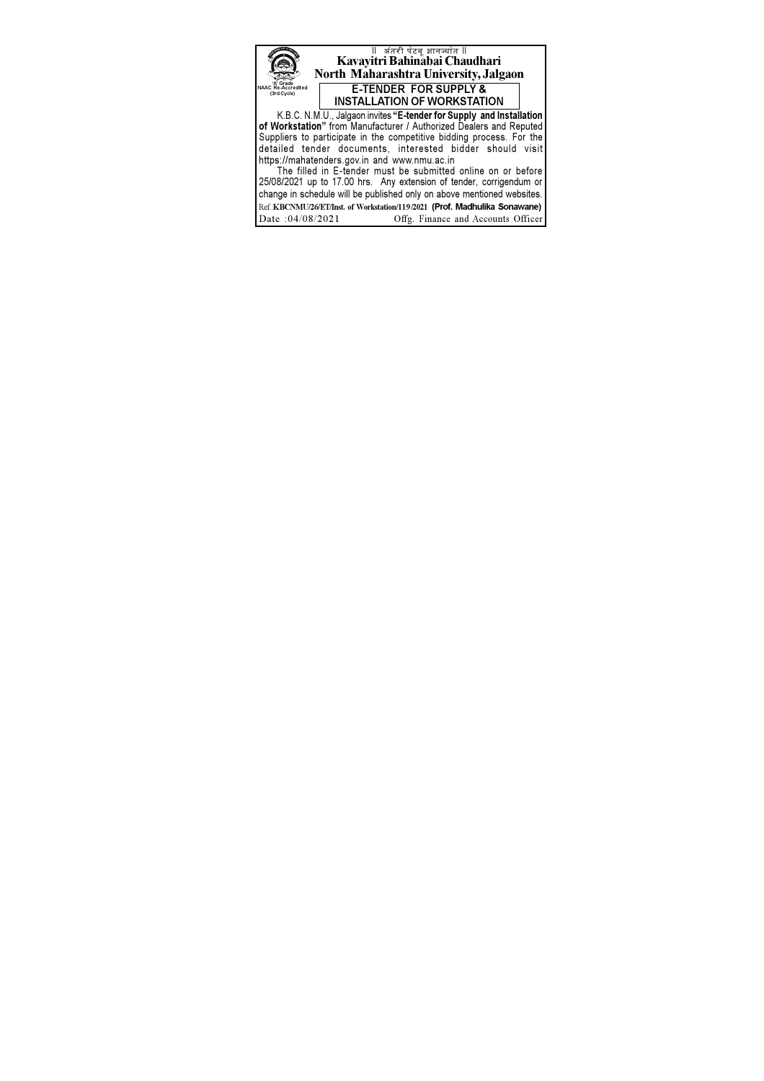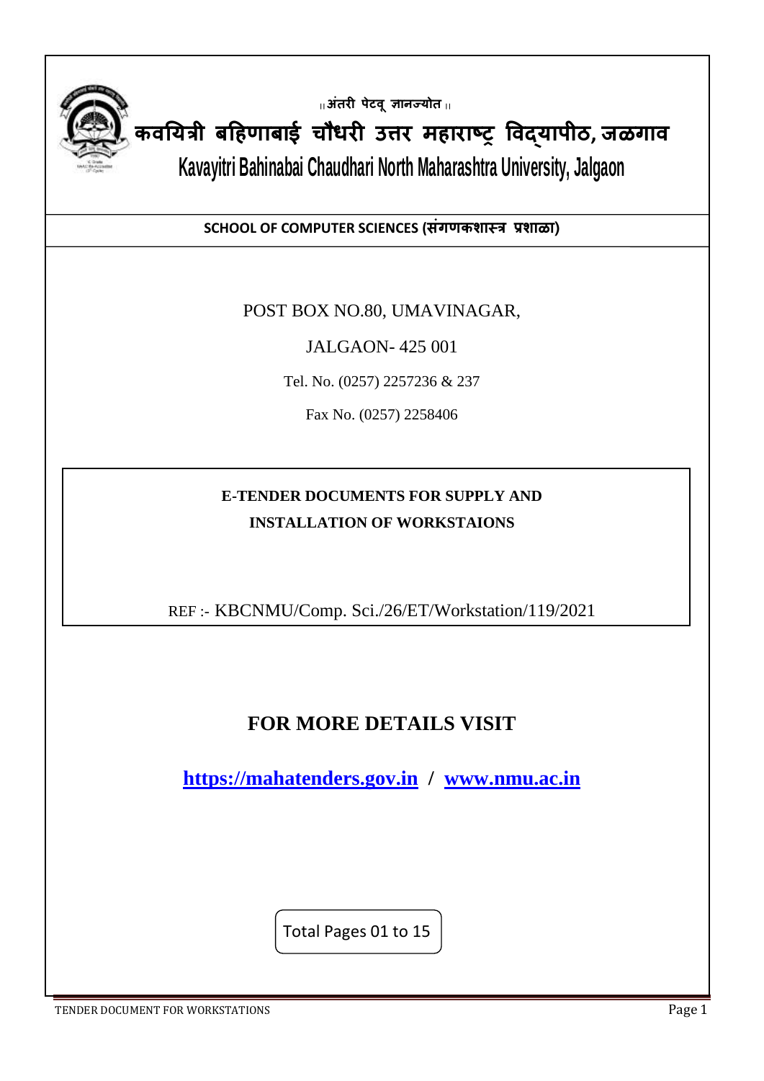

**|| अंतरी पेटवूज्ञानज्योत ||**

**कवययत्री बहिणाबाई चौधरी उत्तर मिाराष्ट्र ववद्यापीठ, जळगाव**

**Kavayitri Bahinabai Chaudhari North Maharashtra University, Jalgaon**

**SCHOOL OF COMPUTER SCIENCES (संगणकशास्त्त्र प्रशाळा)**

POST BOX NO.80, UMAVINAGAR,

JALGAON- 425 001

Tel. No. (0257) 2257236 & 237

Fax No. (0257) 2258406

## **E-TENDER DOCUMENTS FOR SUPPLY AND INSTALLATION OF WORKSTAIONS**

REF :- KBCNMU/Comp. Sci./26/ET/Workstation/119/2021

# **FOR MORE DETAILS VISIT**

**[https://mahatenders.gov.in](https://mahatenders.gov.in/) / [www.nmu.ac.in](http://www.nmu.ac.in/)**

Total Pages 01 to 15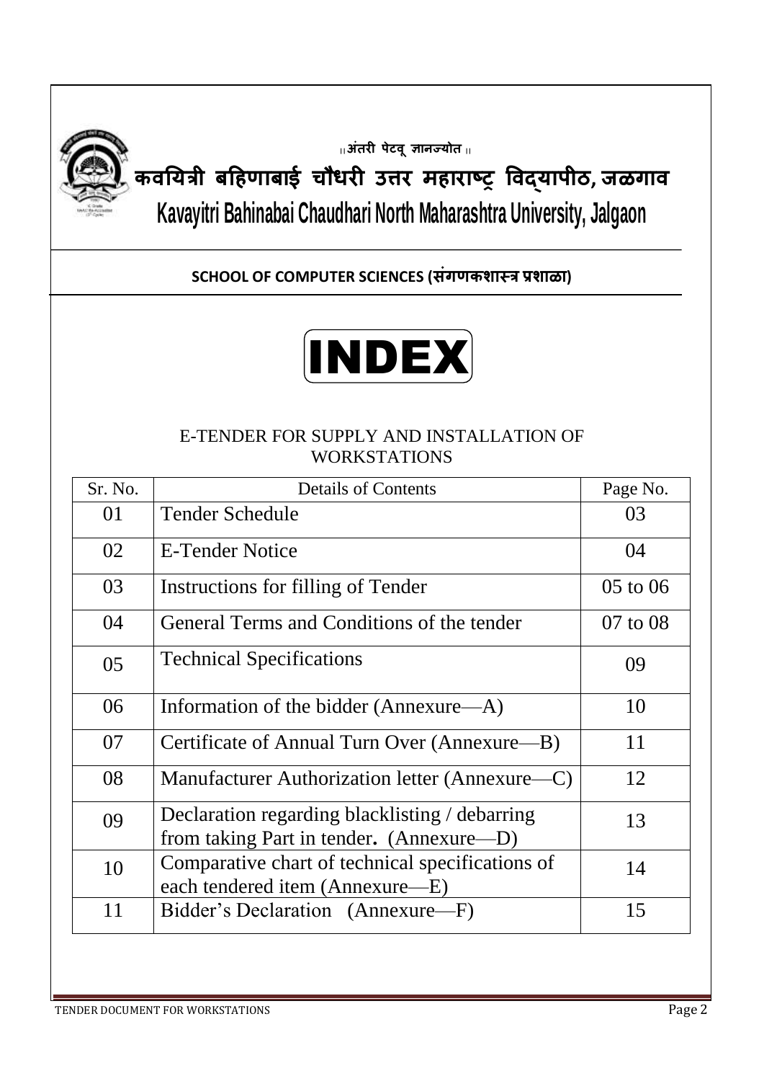

**|| अंतरी पेटवूज्ञानज्योत ||**

# **कवययत्री बहिणाबाई चौधरी उत्तर मिाराष्ट्र ववद्यापीठ, जळगाव Kavayitri Bahinabai Chaudhari North Maharashtra University, Jalgaon**

## **SCHOOL OF COMPUTER SCIENCES (संगणकशास्त्र प्रशाळा)**



## E-TENDER FOR SUPPLY AND INSTALLATION OF WORKSTATIONS

| Sr. No. | <b>Details of Contents</b>                                                                 | Page No.     |
|---------|--------------------------------------------------------------------------------------------|--------------|
| 01      | <b>Tender Schedule</b>                                                                     | 03           |
| 02      | <b>E-Tender Notice</b>                                                                     | 04           |
| 03      | Instructions for filling of Tender                                                         | $05$ to $06$ |
| 04      | General Terms and Conditions of the tender                                                 | 07 to 08     |
| 05      | <b>Technical Specifications</b>                                                            | 09           |
| 06      | Information of the bidder (Annexure—A)                                                     | 10           |
| 07      | Certificate of Annual Turn Over (Annexure—B)                                               | 11           |
| 08      | Manufacturer Authorization letter (Annexure—C)                                             | 12           |
| 09      | Declaration regarding blacklisting / debarring<br>from taking Part in tender. (Annexure—D) | 13           |
| 10      | Comparative chart of technical specifications of<br>each tendered item (Annexure—E)        | 14           |
| 11      | Bidder's Declaration (Annexure-F)                                                          | 15           |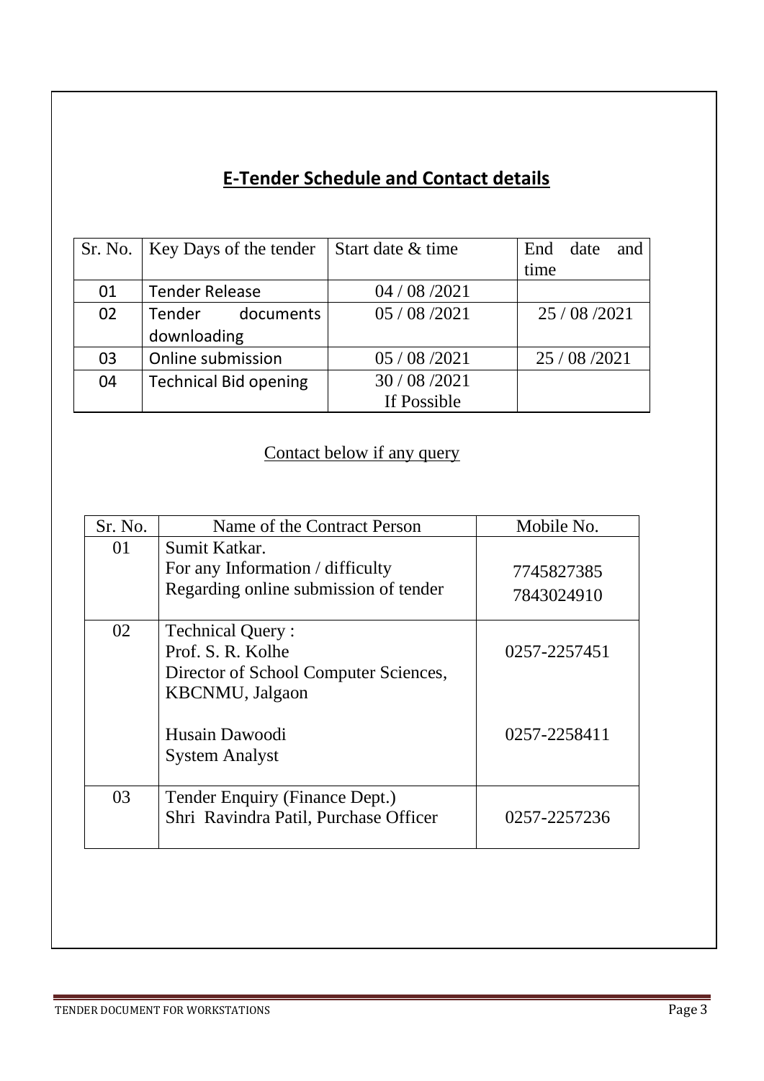# **E-Tender Schedule and Contact details**

|    | Sr. No.   Key Days of the tender | Start date & time | End date<br>and |
|----|----------------------------------|-------------------|-----------------|
|    |                                  |                   | time            |
| 01 | <b>Tender Release</b>            | 04 / 08 / 2021    |                 |
| 02 | Tender documents                 | 05/08/2021        | 25/08/2021      |
|    | downloading                      |                   |                 |
| 03 | Online submission                | 05 / 08 / 2021    | 25 / 08 / 2021  |
| 04 | <b>Technical Bid opening</b>     | 30 / 08 / 2021    |                 |
|    |                                  | If Possible       |                 |

# Contact below if any query

| Sr. No. | Name of the Contract Person                                                                                      | Mobile No.   |
|---------|------------------------------------------------------------------------------------------------------------------|--------------|
| 01      | Sumit Katkar.<br>For any Information / difficulty                                                                | 7745827385   |
|         | Regarding online submission of tender                                                                            | 7843024910   |
| 02      | <b>Technical Query:</b><br>Prof. S. R. Kolhe<br>Director of School Computer Sciences,<br><b>KBCNMU</b> , Jalgaon | 0257-2257451 |
|         | Husain Dawoodi<br><b>System Analyst</b>                                                                          | 0257-2258411 |
| 03      | Tender Enquiry (Finance Dept.)<br>Shri Ravindra Patil, Purchase Officer                                          | 0257-2257236 |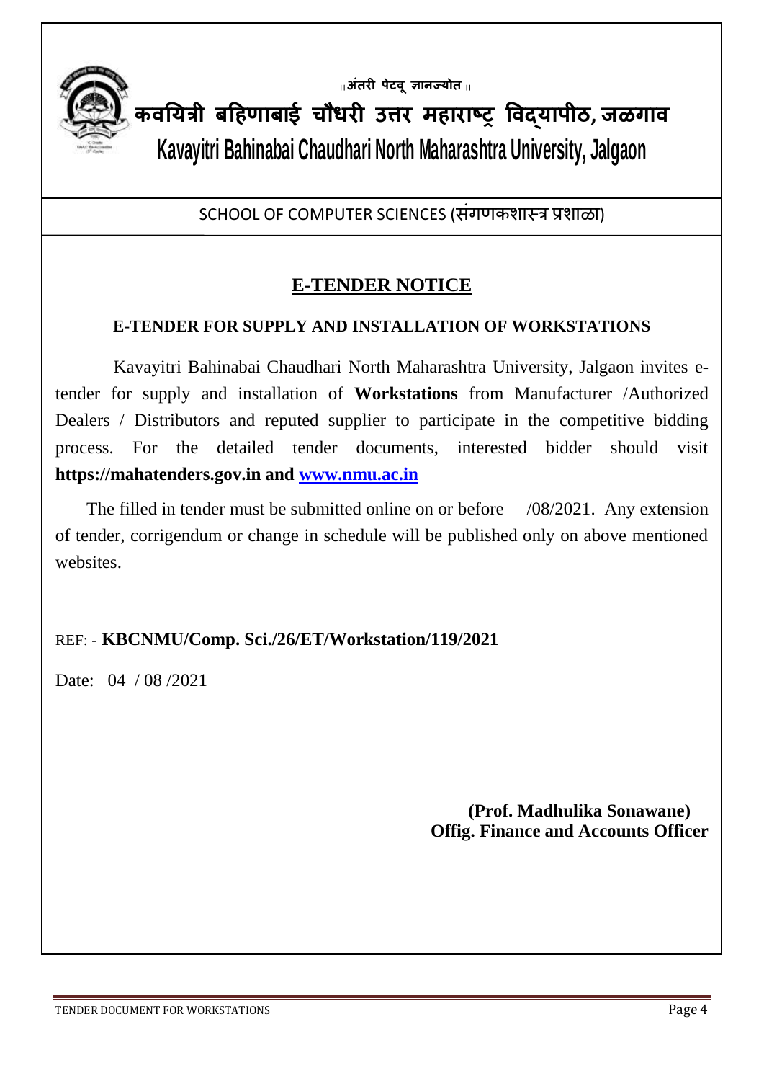

**|| अंतरी पेटवूज्ञानज्योत ||**

**कवययत्री बहिणाबाई चौधरी उत्तर मिाराष्ट्र ववद्यापीठ, जळगाव Kavayitri Bahinabai Chaudhari North Maharashtra University, Jalgaon**

SCHOOL OF COMPUTER SCIENCES (संगणकशास्त्र प्रशाळा)

## **E-TENDER NOTICE**

## **E-TENDER FOR SUPPLY AND INSTALLATION OF WORKSTATIONS**

 Kavayitri Bahinabai Chaudhari North Maharashtra University, Jalgaon invites etender for supply and installation of **Workstations** from Manufacturer /Authorized Dealers / Distributors and reputed supplier to participate in the competitive bidding process. For the detailed tender documents, interested bidder should visit **https://mahatenders.gov.in and [www.nmu.ac.in](http://www.nmu.ac.in/)**

The filled in tender must be submitted online on or before /08/2021. Any extension of tender, corrigendum or change in schedule will be published only on above mentioned websites.

## REF: - **KBCNMU/Comp. Sci./26/ET/Workstation/119/2021**

Date: 04 / 08 / 2021

 **(Prof. Madhulika Sonawane) Offig. Finance and Accounts Officer**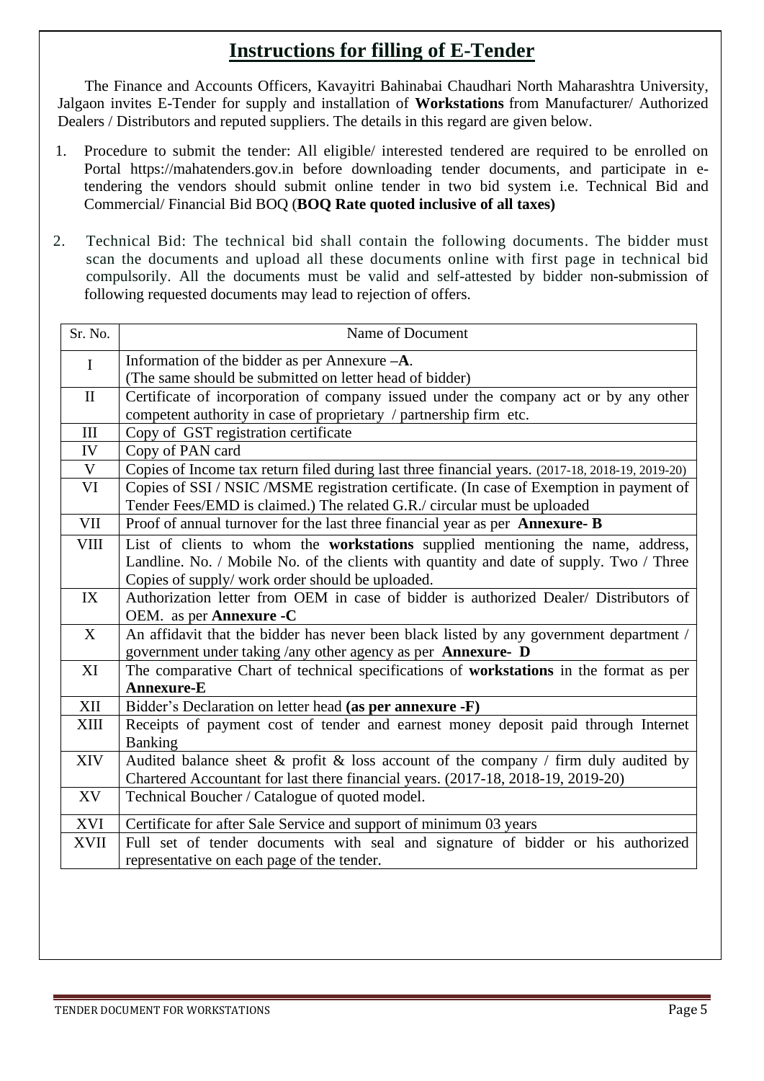## **Instructions for filling of E-Tender**

 The Finance and Accounts Officers, Kavayitri Bahinabai Chaudhari North Maharashtra University, Jalgaon invites E-Tender for supply and installation of **Workstations** from Manufacturer/ Authorized Dealers / Distributors and reputed suppliers. The details in this regard are given below.

- 1. Procedure to submit the tender: All eligible/ interested tendered are required to be enrolled on Portal https://mahatenders.gov.in before downloading tender documents, and participate in etendering the vendors should submit online tender in two bid system i.e. Technical Bid and Commercial/ Financial Bid BOQ (**BOQ Rate quoted inclusive of all taxes)**
- 2. Technical Bid: The technical bid shall contain the following documents. The bidder must scan the documents and upload all these documents online with first page in technical bid compulsorily. All the documents must be valid and self-attested by bidder non-submission of following requested documents may lead to rejection of offers.

| Sr. No.      | Name of Document                                                                                 |
|--------------|--------------------------------------------------------------------------------------------------|
| $\mathbf I$  | Information of the bidder as per Annexure $-A$ .                                                 |
|              | (The same should be submitted on letter head of bidder)                                          |
| $\mathbf{I}$ | Certificate of incorporation of company issued under the company act or by any other             |
|              | competent authority in case of proprietary / partnership firm etc.                               |
| $\rm III$    | Copy of GST registration certificate                                                             |
| IV           | Copy of PAN card                                                                                 |
| $\mathbf V$  | Copies of Income tax return filed during last three financial years. (2017-18, 2018-19, 2019-20) |
| VI           | Copies of SSI / NSIC / MSME registration certificate. (In case of Exemption in payment of        |
|              | Tender Fees/EMD is claimed.) The related G.R./ circular must be uploaded                         |
| VII          | Proof of annual turnover for the last three financial year as per Annexure- B                    |
| <b>VIII</b>  | List of clients to whom the workstations supplied mentioning the name, address,                  |
|              | Landline. No. / Mobile No. of the clients with quantity and date of supply. Two / Three          |
|              | Copies of supply/ work order should be uploaded.                                                 |
| IX           | Authorization letter from OEM in case of bidder is authorized Dealer/ Distributors of            |
|              | OEM. as per <b>Annexure -C</b>                                                                   |
| X            | An affidavit that the bidder has never been black listed by any government department /          |
|              | government under taking /any other agency as per Annexure- D                                     |
| XI           | The comparative Chart of technical specifications of workstations in the format as per           |
|              | Annexure-E                                                                                       |
| $\mbox{XII}$ | Bidder's Declaration on letter head (as per annexure -F)                                         |
| <b>XIII</b>  | Receipts of payment cost of tender and earnest money deposit paid through Internet               |
|              | Banking                                                                                          |
| <b>XIV</b>   | Audited balance sheet $\&$ profit $\&$ loss account of the company / firm duly audited by        |
|              | Chartered Accountant for last there financial years. (2017-18, 2018-19, 2019-20)                 |
| XV           | Technical Boucher / Catalogue of quoted model.                                                   |
| XVI          | Certificate for after Sale Service and support of minimum 03 years                               |
| <b>XVII</b>  | Full set of tender documents with seal and signature of bidder or his authorized                 |
|              | representative on each page of the tender.                                                       |
|              |                                                                                                  |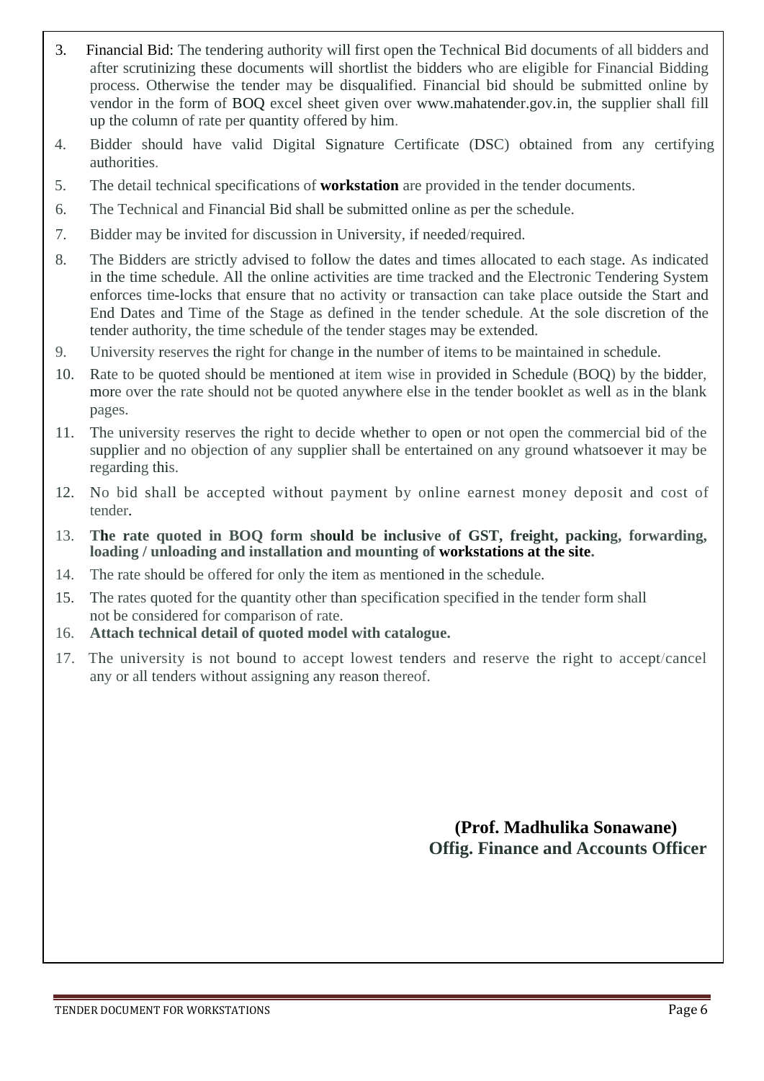- 3. Financial Bid: The tendering authority will first open the Technical Bid documents of all bidders and after scrutinizing these documents will shortlist the bidders who are eligible for Financial Bidding process. Otherwise the tender may be disqualified. Financial bid should be submitted online by vendor in the form of BOQ excel sheet given over [www.mahatender.gov.in,](http://www.mahatender.gov.in,/) the supplier shall fill up the column of rate per quantity offered by him.
- 4. Bidder should have valid Digital Signature Certificate (DSC) obtained from any certifying authorities.
- 5. The detail technical specifications of **workstation** are provided in the tender documents.
- 6. The Technical and Financial Bid shall be submitted online as per the schedule.
- 7. Bidder may be invited for discussion in University, if needed/required.
- 8. The Bidders are strictly advised to follow the dates and times allocated to each stage. As indicated in the time schedule. All the online activities are time tracked and the Electronic Tendering System enforces time-locks that ensure that no activity or transaction can take place outside the Start and End Dates and Time of the Stage as defined in the tender schedule. At the sole discretion of the tender authority, the time schedule of the tender stages may be extended.
- 9. University reserves the right for change in the number of items to be maintained in schedule.
- 10. Rate to be quoted should be mentioned at item wise in provided in Schedule (BOQ) by the bidder, more over the rate should not be quoted anywhere else in the tender booklet as well as in the blank pages.
- 11. The university reserves the right to decide whether to open or not open the commercial bid of the supplier and no objection of any supplier shall be entertained on any ground whatsoever it may be regarding this.
- 12. No bid shall be accepted without payment by online earnest money deposit and cost of tender.
- 13. **The rate quoted in BOQ form should be inclusive of GST, freight, packing, forwarding, loading / unloading and installation and mounting of workstations at the site.**
- 14. The rate should be offered for only the item as mentioned in the schedule.
- 15. The rates quoted for the quantity other than specification specified in the tender form shall not be considered for comparison of rate.
- 16. **Attach technical detail of quoted model with catalogue.**
- 17. The university is not bound to accept lowest tenders and reserve the right to accept/cancel any or all tenders without assigning any reason thereof.

 **(Prof. Madhulika Sonawane) Offig. Finance and Accounts Officer**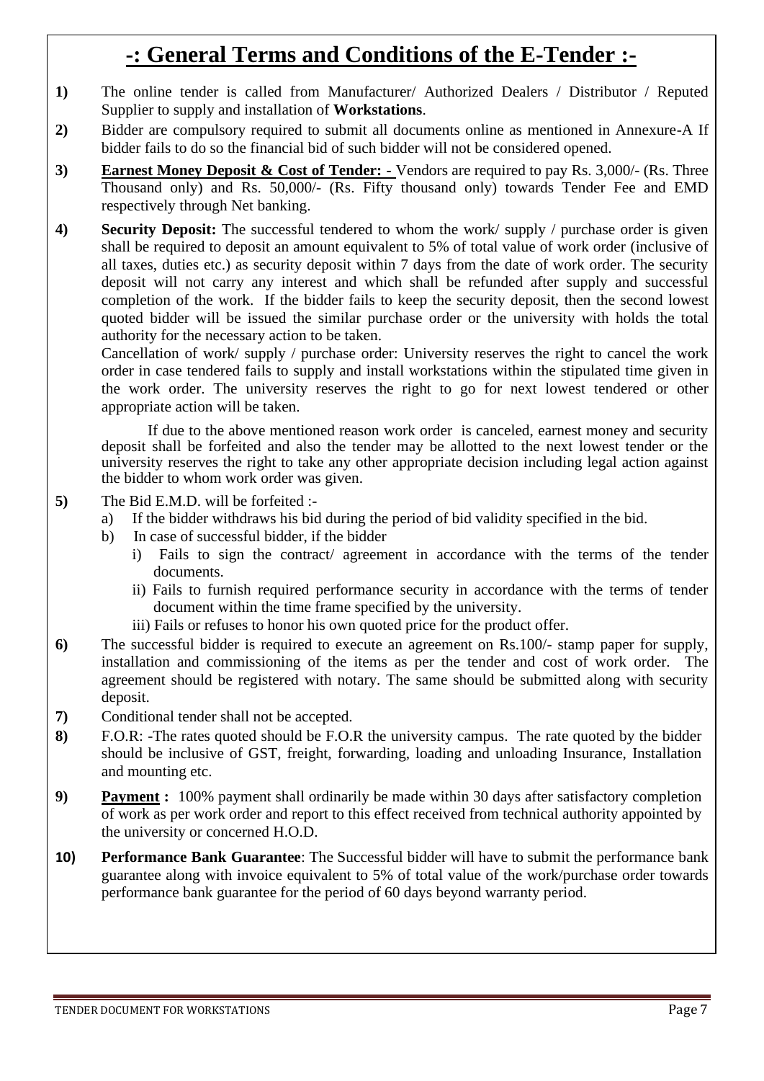# **-: General Terms and Conditions of the E-Tender :-**

- **1)** The online tender is called from Manufacturer/ Authorized Dealers / Distributor / Reputed Supplier to supply and installation of **Workstations**.
- **2)** Bidder are compulsory required to submit all documents online as mentioned in Annexure-A If bidder fails to do so the financial bid of such bidder will not be considered opened.
- **3) Earnest Money Deposit & Cost of Tender: -** Vendors are required to pay Rs. 3,000/- (Rs. Three Thousand only) and Rs. 50,000/- (Rs. Fifty thousand only) towards Tender Fee and EMD respectively through Net banking.
- **4) Security Deposit:** The successful tendered to whom the work/ supply / purchase order is given shall be required to deposit an amount equivalent to 5% of total value of work order (inclusive of all taxes, duties etc.) as security deposit within 7 days from the date of work order. The security deposit will not carry any interest and which shall be refunded after supply and successful completion of the work. If the bidder fails to keep the security deposit, then the second lowest quoted bidder will be issued the similar purchase order or the university with holds the total authority for the necessary action to be taken.

Cancellation of work/ supply / purchase order: University reserves the right to cancel the work order in case tendered fails to supply and install workstations within the stipulated time given in the work order. The university reserves the right to go for next lowest tendered or other appropriate action will be taken.

If due to the above mentioned reason work order is canceled, earnest money and security deposit shall be forfeited and also the tender may be allotted to the next lowest tender or the university reserves the right to take any other appropriate decision including legal action against the bidder to whom work order was given.

- **5)** The Bid E.M.D. will be forfeited :
	- a) If the bidder withdraws his bid during the period of bid validity specified in the bid.
	- b) In case of successful bidder, if the bidder
		- i) Fails to sign the contract/ agreement in accordance with the terms of the tender documents.
		- ii) Fails to furnish required performance security in accordance with the terms of tender document within the time frame specified by the university.
		- iii) Fails or refuses to honor his own quoted price for the product offer.
- **6)** The successful bidder is required to execute an agreement on Rs.100/- stamp paper for supply, installation and commissioning of the items as per the tender and cost of work order. The agreement should be registered with notary. The same should be submitted along with security deposit.
- **7)** Conditional tender shall not be accepted.
- **8)** F.O.R: -The rates quoted should be F.O.R the university campus. The rate quoted by the bidder should be inclusive of GST, freight, forwarding, loading and unloading Insurance, Installation and mounting etc.
- **9) Payment :** 100% payment shall ordinarily be made within 30 days after satisfactory completion of work as per work order and report to this effect received from technical authority appointed by the university or concerned H.O.D.
- **10) Performance Bank Guarantee**: The Successful bidder will have to submit the performance bank guarantee along with invoice equivalent to 5% of total value of the work/purchase order towards performance bank guarantee for the period of 60 days beyond warranty period.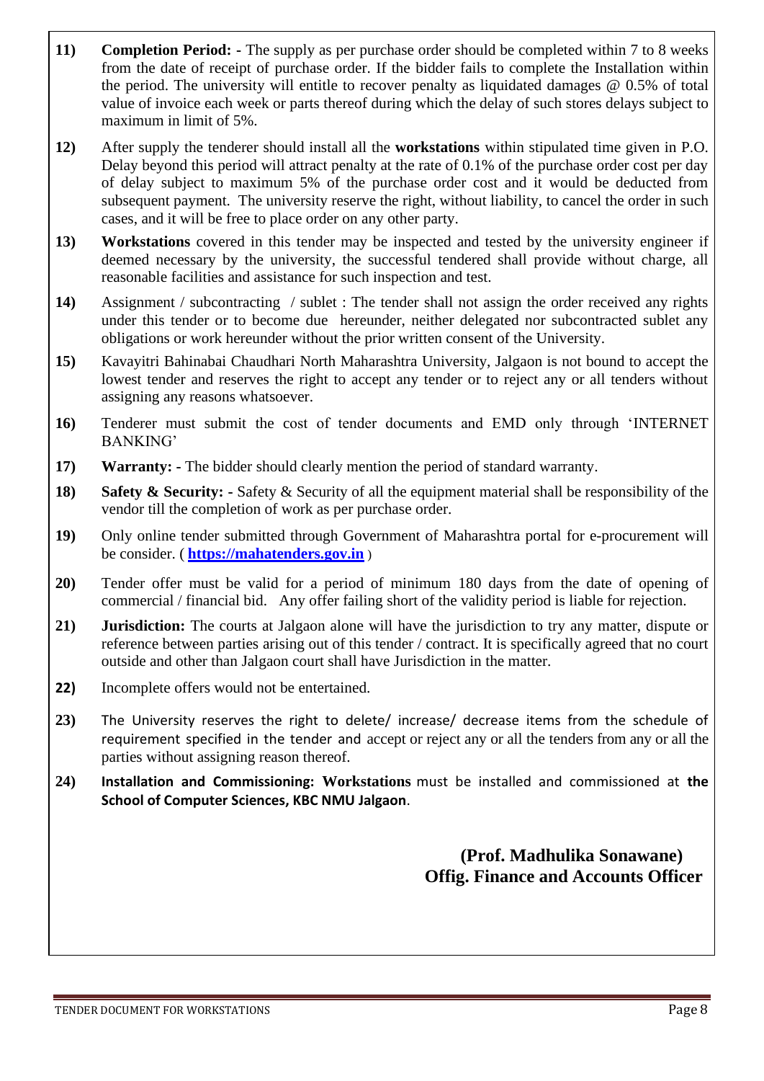- **11) Completion Period: -** The supply as per purchase order should be completed within 7 to 8 weeks from the date of receipt of purchase order. If the bidder fails to complete the Installation within the period. The university will entitle to recover penalty as liquidated damages  $\omega$  0.5% of total value of invoice each week or parts thereof during which the delay of such stores delays subject to maximum in limit of 5%.
- **12)** After supply the tenderer should install all the **workstations** within stipulated time given in P.O. Delay beyond this period will attract penalty at the rate of 0.1% of the purchase order cost per day of delay subject to maximum 5% of the purchase order cost and it would be deducted from subsequent payment. The university reserve the right, without liability, to cancel the order in such cases, and it will be free to place order on any other party.
- **13) Workstations** covered in this tender may be inspected and tested by the university engineer if deemed necessary by the university, the successful tendered shall provide without charge, all reasonable facilities and assistance for such inspection and test.
- **14)** Assignment / subcontracting / sublet : The tender shall not assign the order received any rights under this tender or to become due hereunder, neither delegated nor subcontracted sublet any obligations or work hereunder without the prior written consent of the University.
- **15)** Kavayitri Bahinabai Chaudhari North Maharashtra University, Jalgaon is not bound to accept the lowest tender and reserves the right to accept any tender or to reject any or all tenders without assigning any reasons whatsoever.
- **16)** Tenderer must submit the cost of tender documents and EMD only through 'INTERNET BANKING'
- **17) Warranty: -** The bidder should clearly mention the period of standard warranty.
- **18) Safety & Security: -** Safety & Security of all the equipment material shall be responsibility of the vendor till the completion of work as per purchase order.
- **19)** Only online tender submitted through Government of Maharashtra portal for e-procurement will be consider. ( **[https://mahatenders.gov.in](https://mahatenders.gov.in/)** )
- **20)** Tender offer must be valid for a period of minimum 180 days from the date of opening of commercial / financial bid. Any offer failing short of the validity period is liable for rejection.
- **21) Jurisdiction:** The courts at Jalgaon alone will have the jurisdiction to try any matter, dispute or reference between parties arising out of this tender / contract. It is specifically agreed that no court outside and other than Jalgaon court shall have Jurisdiction in the matter.
- **22)** Incomplete offers would not be entertained.
- **23)** The University reserves the right to delete/ increase/ decrease items from the schedule of requirement specified in the tender and accept or reject any or all the tenders from any or all the parties without assigning reason thereof.
- **24) Installation and Commissioning: Workstations** must be installed and commissioned at **the School of Computer Sciences, KBC NMU Jalgaon**.

 **(Prof. Madhulika Sonawane) Offig. Finance and Accounts Officer**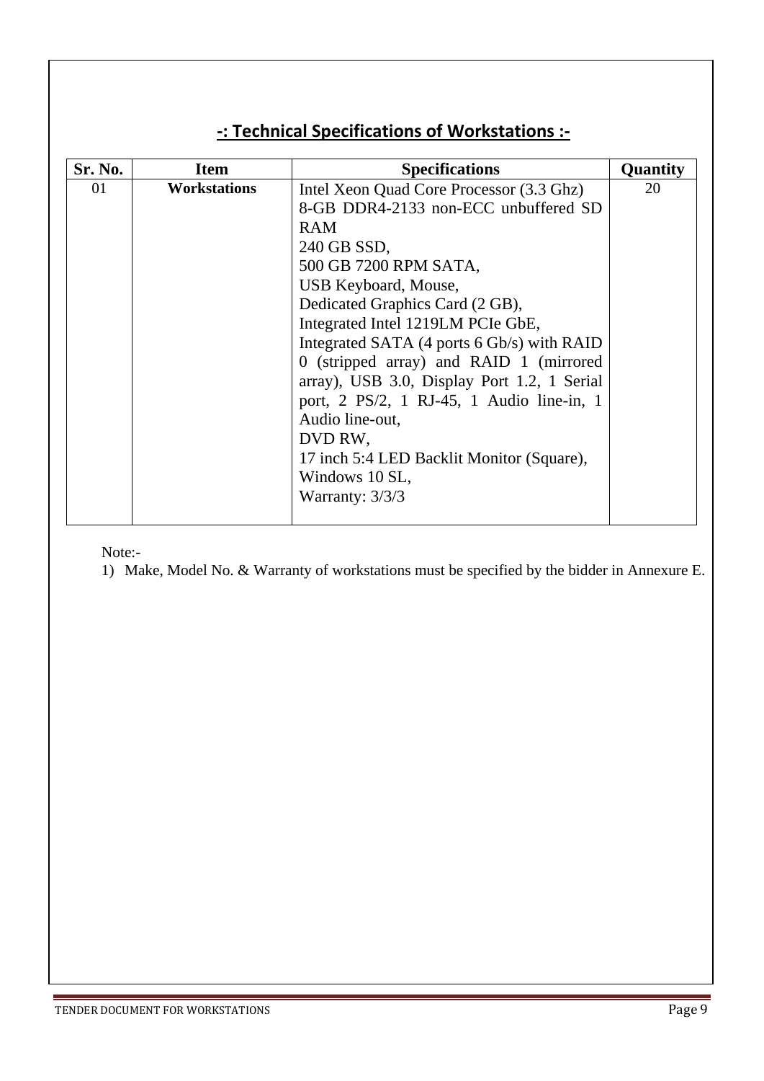## **-: Technical Specifications of Workstations :-**

| Sr. No. | <b>Item</b>         | <b>Specifications</b>                       | Quantity |
|---------|---------------------|---------------------------------------------|----------|
| 01      | <b>Workstations</b> | Intel Xeon Quad Core Processor (3.3 Ghz)    | 20       |
|         |                     | 8-GB DDR4-2133 non-ECC unbuffered SD        |          |
|         |                     | <b>RAM</b>                                  |          |
|         |                     | 240 GB SSD,                                 |          |
|         |                     | 500 GB 7200 RPM SATA,                       |          |
|         |                     | USB Keyboard, Mouse,                        |          |
|         |                     | Dedicated Graphics Card (2 GB),             |          |
|         |                     | Integrated Intel 1219LM PCIe GbE,           |          |
|         |                     | Integrated SATA (4 ports 6 Gb/s) with RAID  |          |
|         |                     | 0 (stripped array) and RAID 1 (mirrored     |          |
|         |                     | array), USB 3.0, Display Port 1.2, 1 Serial |          |
|         |                     | port, 2 PS/2, 1 RJ-45, 1 Audio line-in, 1   |          |
|         |                     | Audio line-out,                             |          |
|         |                     | DVD RW,                                     |          |
|         |                     | 17 inch 5:4 LED Backlit Monitor (Square),   |          |
|         |                     | Windows 10 SL,                              |          |
|         |                     | Warranty: $3/3/3$                           |          |
|         |                     |                                             |          |

Note:-

1) Make, Model No. & Warranty of workstations must be specified by the bidder in Annexure E.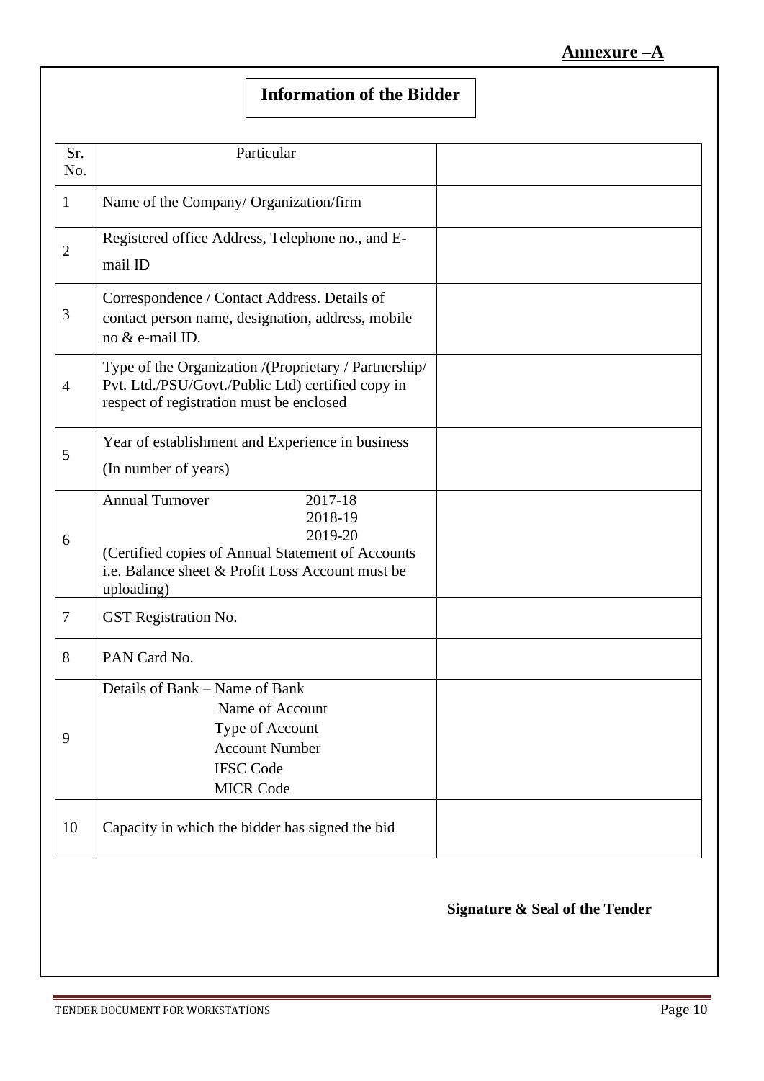## **Information of the Bidder**

| 1              | Name of the Company/ Organization/firm                                                                                                                                         |  |
|----------------|--------------------------------------------------------------------------------------------------------------------------------------------------------------------------------|--|
| $\overline{2}$ | Registered office Address, Telephone no., and E-<br>mail ID                                                                                                                    |  |
| $\mathfrak{Z}$ | Correspondence / Contact Address. Details of<br>contact person name, designation, address, mobile<br>no & e-mail ID.                                                           |  |
| $\overline{4}$ | Type of the Organization /(Proprietary / Partnership/<br>Pvt. Ltd./PSU/Govt./Public Ltd) certified copy in<br>respect of registration must be enclosed                         |  |
| 5              | Year of establishment and Experience in business<br>(In number of years)                                                                                                       |  |
| 6              | <b>Annual Turnover</b><br>2017-18<br>2018-19<br>2019-20<br>(Certified copies of Annual Statement of Accounts<br>i.e. Balance sheet & Profit Loss Account must be<br>uploading) |  |
| $\tau$         | GST Registration No.                                                                                                                                                           |  |
| 8              | PAN Card No.                                                                                                                                                                   |  |
| 9              | Details of Bank – Name of Bank<br>Name of Account<br>Type of Account<br><b>Account Number</b><br><b>IFSC Code</b><br><b>MICR Code</b>                                          |  |
| 10             | Capacity in which the bidder has signed the bid                                                                                                                                |  |

## **Signature & Seal of the Tender**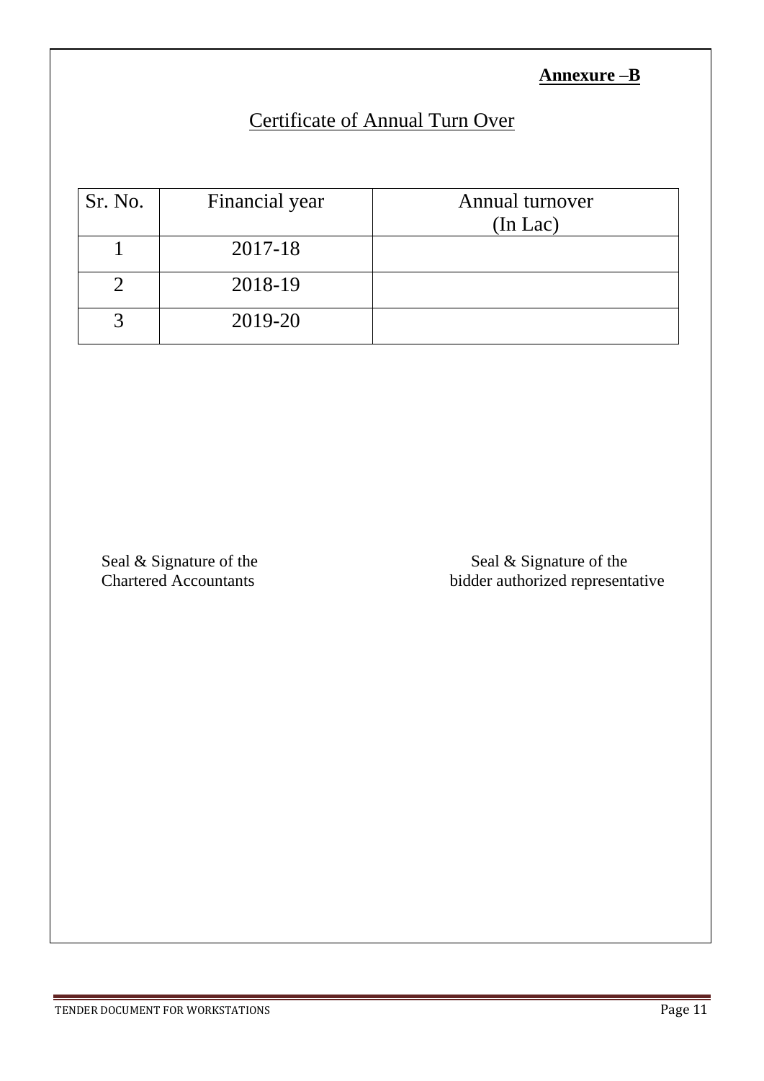## **Annexure –B**

## Certificate of Annual Turn Over

| Sr. No. | Financial year | Annual turnover<br>$(In$ Lac $)$ |
|---------|----------------|----------------------------------|
|         | 2017-18        |                                  |
|         | 2018-19        |                                  |
|         | 2019-20        |                                  |

Seal & Signature of the Seal & Signature of the Seal & Signature of the Seal & Signature of the Seal & Signature of the Seal & Signature of the Seal & Signature of the Seal & Signature of the Seal & Signature of the Seal & bidder authorized representative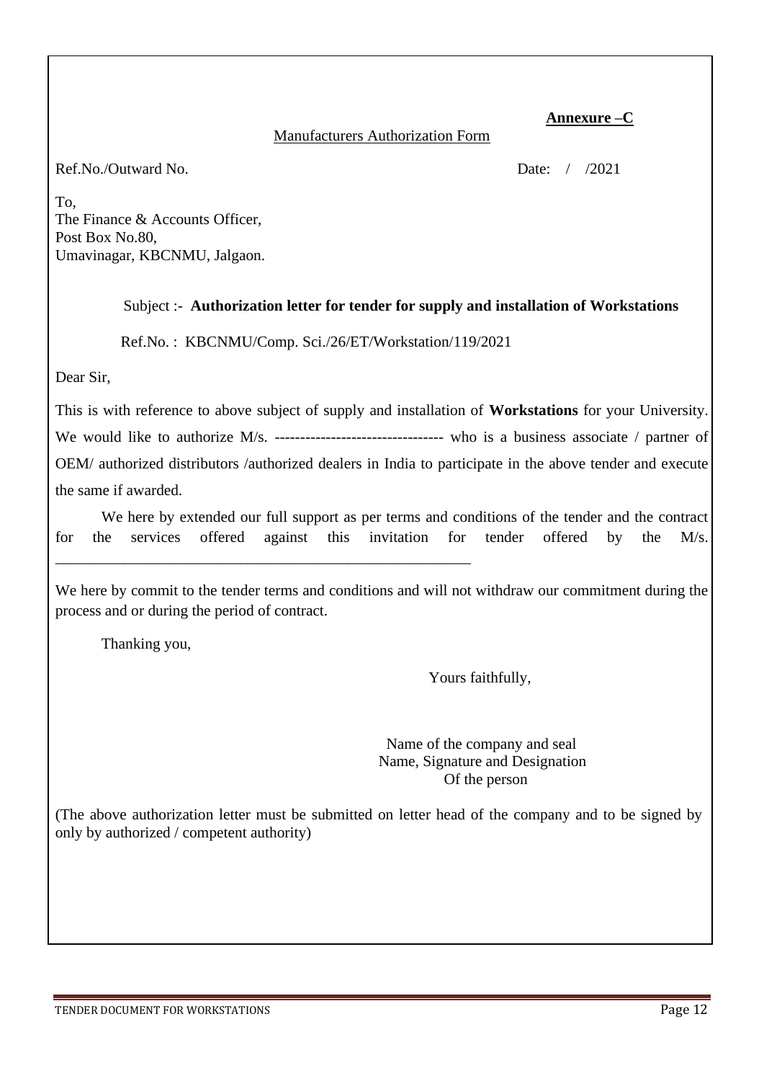#### **Annexure –C**

#### Manufacturers Authorization Form

Ref.No./Outward No. 2021

To, The Finance & Accounts Officer, Post Box No.80, Umavinagar, KBCNMU, Jalgaon.

#### Subject :- **Authorization letter for tender for supply and installation of Workstations**

Ref.No. : KBCNMU/Comp. Sci./26/ET/Workstation/119/2021

\_\_\_\_\_\_\_\_\_\_\_\_\_\_\_\_\_\_\_\_\_\_\_\_\_\_\_\_\_\_\_\_\_\_\_\_\_\_\_\_\_\_\_\_\_\_\_\_\_\_\_\_\_\_

Dear Sir,

This is with reference to above subject of supply and installation of **Workstations** for your University. We would like to authorize M/s. ----------------------------------- who is a business associate / partner of OEM/ authorized distributors /authorized dealers in India to participate in the above tender and execute the same if awarded.

We here by extended our full support as per terms and conditions of the tender and the contract for the services offered against this invitation for tender offered by the M/s.

We here by commit to the tender terms and conditions and will not withdraw our commitment during the process and or during the period of contract.

Thanking you,

Yours faithfully,

 Name of the company and seal Name, Signature and Designation Of the person

(The above authorization letter must be submitted on letter head of the company and to be signed by only by authorized / competent authority)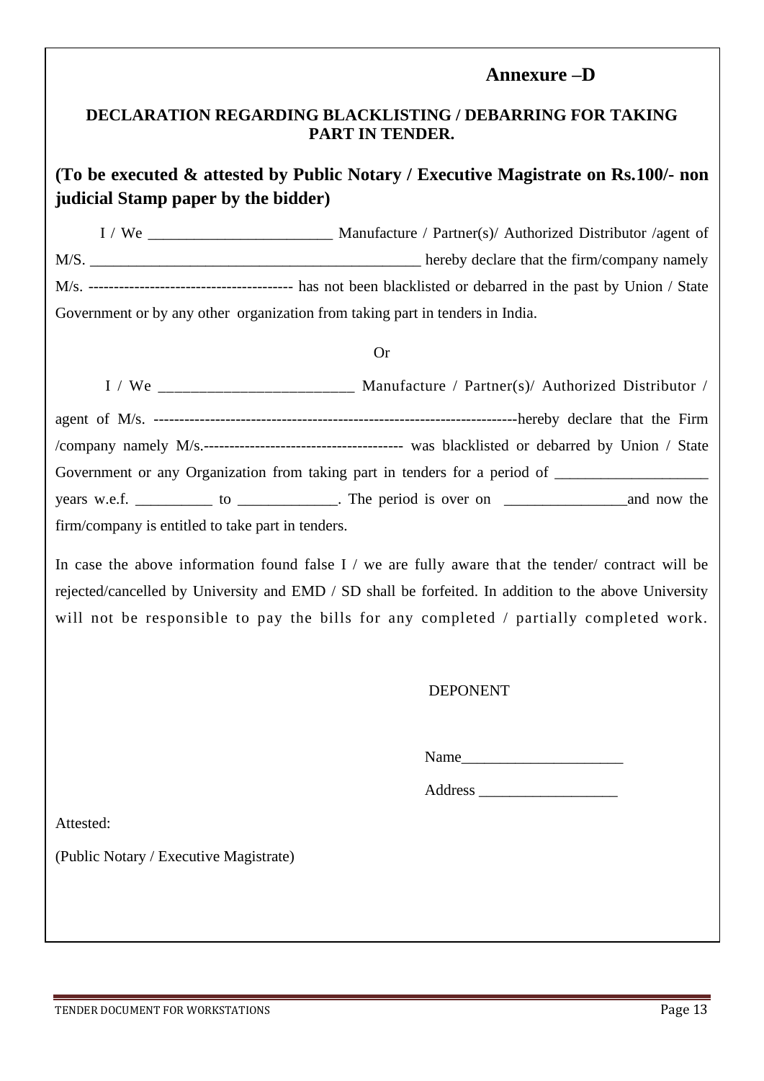#### **Annexure –D**

#### **DECLARATION REGARDING BLACKLISTING / DEBARRING FOR TAKING PART IN TENDER.**

## **(To be executed & attested by Public Notary / Executive Magistrate on Rs.100/- non judicial Stamp paper by the bidder)**

I / We \_\_\_\_\_\_\_\_\_\_\_\_\_\_\_\_\_\_\_\_\_\_\_\_ Manufacture / Partner(s)/ Authorized Distributor /agent of M/S. M/s. ---------------------------------------- has not been blacklisted or debarred in the past by Union / State Government or by any other organization from taking part in tenders in India.

#### Or

|                                                   | Manufacture / Partner(s)/ Authorized Distributor /                                                  |
|---------------------------------------------------|-----------------------------------------------------------------------------------------------------|
|                                                   |                                                                                                     |
|                                                   |                                                                                                     |
|                                                   | Government or any Organization from taking part in tenders for a period of ________________________ |
|                                                   |                                                                                                     |
| firm/company is entitled to take part in tenders. |                                                                                                     |

In case the above information found false I / we are fully aware that the tender/ contract will be rejected/cancelled by University and EMD / SD shall be forfeited. In addition to the above University will not be responsible to pay the bills for any completed / partially completed work.

#### DEPONENT

Name\_\_\_\_\_\_\_\_\_\_\_\_\_\_\_\_\_\_\_\_\_

Address \_\_\_\_\_\_\_\_\_\_\_\_\_\_\_\_\_\_

Attested:

(Public Notary / Executive Magistrate)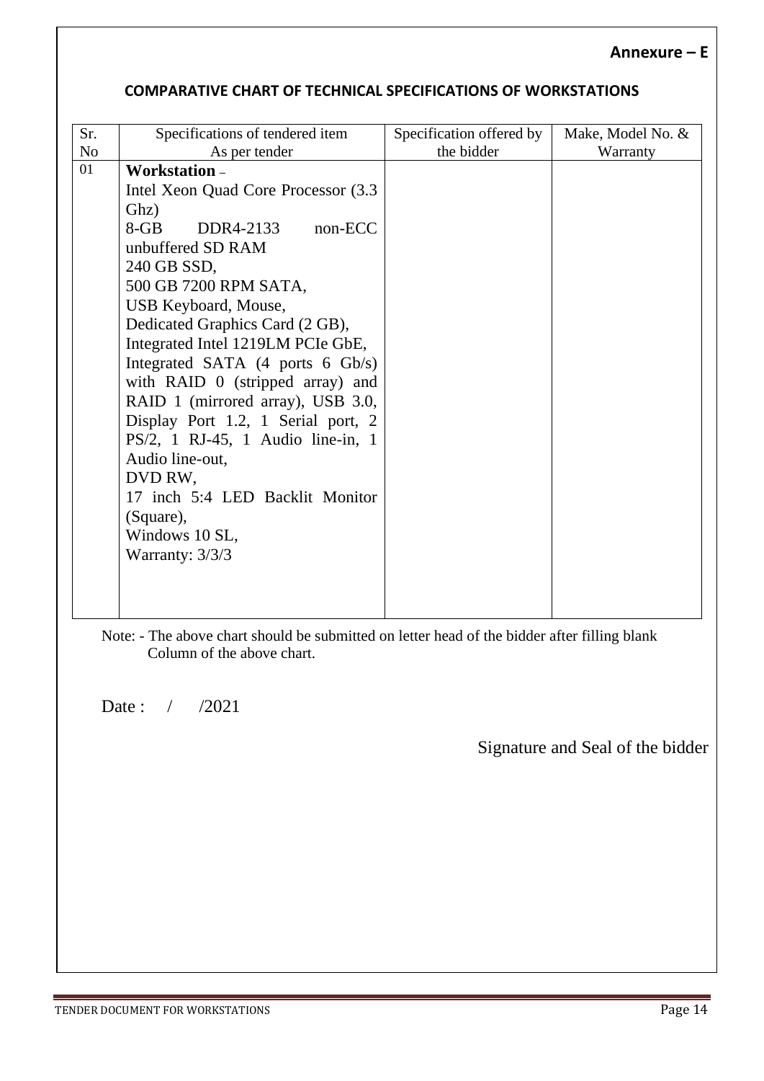#### **COMPARATIVE CHART OF TECHNICAL SPECIFICATIONS OF WORKSTATIONS**

| Sr. | Specifications of tendered item                    | Specification offered by | Make, Model No. & |
|-----|----------------------------------------------------|--------------------------|-------------------|
| No  | As per tender                                      | the bidder               | Warranty          |
| 01  | Workstation-                                       |                          |                   |
|     | Intel Xeon Quad Core Processor (3.3)               |                          |                   |
|     | Ghz)                                               |                          |                   |
|     | $8-GB$<br>non-ECC<br>DDR4-2133                     |                          |                   |
|     | unbuffered SD RAM                                  |                          |                   |
|     | 240 GB SSD,                                        |                          |                   |
|     | 500 GB 7200 RPM SATA,                              |                          |                   |
|     | USB Keyboard, Mouse,                               |                          |                   |
|     | Dedicated Graphics Card (2 GB),                    |                          |                   |
|     | Integrated Intel 1219LM PCIe GbE,                  |                          |                   |
|     | Integrated SATA $(4 \text{ ports } 6 \text{Gb/s})$ |                          |                   |
|     | with RAID $0$ (stripped array) and                 |                          |                   |
|     | RAID 1 (mirrored array), USB 3.0,                  |                          |                   |
|     | Display Port 1.2, 1 Serial port, 2                 |                          |                   |
|     | PS/2, 1 RJ-45, 1 Audio line-in, 1                  |                          |                   |
|     | Audio line-out,                                    |                          |                   |
|     | DVD RW,                                            |                          |                   |
|     | 17 inch 5:4 LED Backlit Monitor                    |                          |                   |
|     | (Square),                                          |                          |                   |
|     | Windows 10 SL,                                     |                          |                   |
|     | Warranty: $3/3/3$                                  |                          |                   |
|     |                                                    |                          |                   |
|     |                                                    |                          |                   |
|     |                                                    |                          |                   |

Note: - The above chart should be submitted on letter head of the bidder after filling blank Column of the above chart.

Date: / /2021

 $\overline{\phantom{a}}$ 

Signature and Seal of the bidder